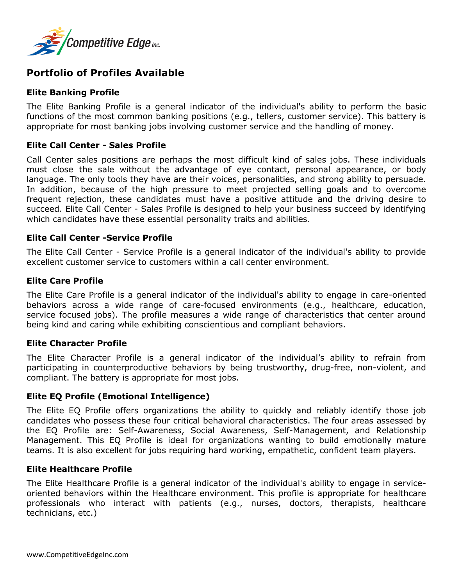

# **Portfolio of Profiles Available**

# **Elite Banking Profile**

The Elite Banking Profile is a general indicator of the individual's ability to perform the basic functions of the most common banking positions (e.g., tellers, customer service). This battery is appropriate for most banking jobs involving customer service and the handling of money.

# **Elite Call Center - Sales Profile**

Call Center sales positions are perhaps the most difficult kind of sales jobs. These individuals must close the sale without the advantage of eye contact, personal appearance, or body language. The only tools they have are their voices, personalities, and strong ability to persuade. In addition, because of the high pressure to meet projected selling goals and to overcome frequent rejection, these candidates must have a positive attitude and the driving desire to succeed. Elite Call Center - Sales Profile is designed to help your business succeed by identifying which candidates have these essential personality traits and abilities.

# **Elite Call Center -Service Profile**

The Elite Call Center - Service Profile is a general indicator of the individual's ability to provide excellent customer service to customers within a call center environment.

# **Elite Care Profile**

The Elite Care Profile is a general indicator of the individual's ability to engage in care-oriented behaviors across a wide range of care-focused environments (e.g., healthcare, education, service focused jobs). The profile measures a wide range of characteristics that center around being kind and caring while exhibiting conscientious and compliant behaviors.

## **Elite Character Profile**

The Elite Character Profile is a general indicator of the individual's ability to refrain from participating in counterproductive behaviors by being trustworthy, drug-free, non-violent, and compliant. The battery is appropriate for most jobs.

## **Elite EQ Profile (Emotional Intelligence)**

The Elite EQ Profile offers organizations the ability to quickly and reliably identify those job candidates who possess these four critical behavioral characteristics. The four areas assessed by the EQ Profile are: Self-Awareness, Social Awareness, Self-Management, and Relationship Management. This EQ Profile is ideal for organizations wanting to build emotionally mature teams. It is also excellent for jobs requiring hard working, empathetic, confident team players.

## **Elite Healthcare Profile**

The Elite Healthcare Profile is a general indicator of the individual's ability to engage in serviceoriented behaviors within the Healthcare environment. This profile is appropriate for healthcare professionals who interact with patients (e.g., nurses, doctors, therapists, healthcare technicians, etc.)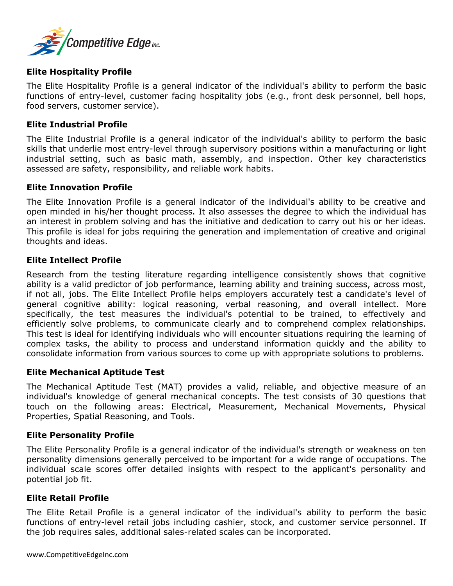

## **Elite Hospitality Profile**

The Elite Hospitality Profile is a general indicator of the individual's ability to perform the basic functions of entry-level, customer facing hospitality jobs (e.g., front desk personnel, bell hops, food servers, customer service).

#### **Elite Industrial Profile**

The Elite Industrial Profile is a general indicator of the individual's ability to perform the basic skills that underlie most entry-level through supervisory positions within a manufacturing or light industrial setting, such as basic math, assembly, and inspection. Other key characteristics assessed are safety, responsibility, and reliable work habits.

#### **Elite Innovation Profile**

The Elite Innovation Profile is a general indicator of the individual's ability to be creative and open minded in his/her thought process. It also assesses the degree to which the individual has an interest in problem solving and has the initiative and dedication to carry out his or her ideas. This profile is ideal for jobs requiring the generation and implementation of creative and original thoughts and ideas.

#### **Elite Intellect Profile**

Research from the testing literature regarding intelligence consistently shows that cognitive ability is a valid predictor of job performance, learning ability and training success, across most, if not all, jobs. The Elite Intellect Profile helps employers accurately test a candidate's level of general cognitive ability: logical reasoning, verbal reasoning, and overall intellect. More specifically, the test measures the individual's potential to be trained, to effectively and efficiently solve problems, to communicate clearly and to comprehend complex relationships. This test is ideal for identifying individuals who will encounter situations requiring the learning of complex tasks, the ability to process and understand information quickly and the ability to consolidate information from various sources to come up with appropriate solutions to problems.

## **Elite Mechanical Aptitude Test**

The Mechanical Aptitude Test (MAT) provides a valid, reliable, and objective measure of an individual's knowledge of general mechanical concepts. The test consists of 30 questions that touch on the following areas: Electrical, Measurement, Mechanical Movements, Physical Properties, Spatial Reasoning, and Tools.

#### **Elite Personality Profile**

The Elite Personality Profile is a general indicator of the individual's strength or weakness on ten personality dimensions generally perceived to be important for a wide range of occupations. The individual scale scores offer detailed insights with respect to the applicant's personality and potential job fit.

#### **Elite Retail Profile**

The Elite Retail Profile is a general indicator of the individual's ability to perform the basic functions of entry-level retail jobs including cashier, stock, and customer service personnel. If the job requires sales, additional sales-related scales can be incorporated.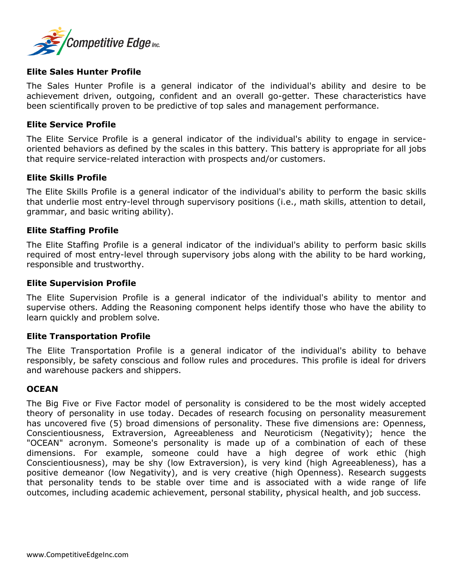

#### **Elite Sales Hunter Profile**

The Sales Hunter Profile is a general indicator of the individual's ability and desire to be achievement driven, outgoing, confident and an overall go-getter. These characteristics have been scientifically proven to be predictive of top sales and management performance.

#### **Elite Service Profile**

The Elite Service Profile is a general indicator of the individual's ability to engage in serviceoriented behaviors as defined by the scales in this battery. This battery is appropriate for all jobs that require service-related interaction with prospects and/or customers.

#### **Elite Skills Profile**

The Elite Skills Profile is a general indicator of the individual's ability to perform the basic skills that underlie most entry-level through supervisory positions (i.e., math skills, attention to detail, grammar, and basic writing ability).

#### **Elite Staffing Profile**

The Elite Staffing Profile is a general indicator of the individual's ability to perform basic skills required of most entry-level through supervisory jobs along with the ability to be hard working, responsible and trustworthy.

#### **Elite Supervision Profile**

The Elite Supervision Profile is a general indicator of the individual's ability to mentor and supervise others. Adding the Reasoning component helps identify those who have the ability to learn quickly and problem solve.

## **Elite Transportation Profile**

The Elite Transportation Profile is a general indicator of the individual's ability to behave responsibly, be safety conscious and follow rules and procedures. This profile is ideal for drivers and warehouse packers and shippers.

#### **OCEAN**

The Big Five or Five Factor model of personality is considered to be the most widely accepted theory of personality in use today. Decades of research focusing on personality measurement has uncovered five (5) broad dimensions of personality. These five dimensions are: Openness, Conscientiousness, Extraversion, Agreeableness and Neuroticism (Negativity); hence the "OCEAN" acronym. Someone's personality is made up of a combination of each of these dimensions. For example, someone could have a high degree of work ethic (high Conscientiousness), may be shy (low Extraversion), is very kind (high Agreeableness), has a positive demeanor (low Negativity), and is very creative (high Openness). Research suggests that personality tends to be stable over time and is associated with a wide range of life outcomes, including academic achievement, personal stability, physical health, and job success.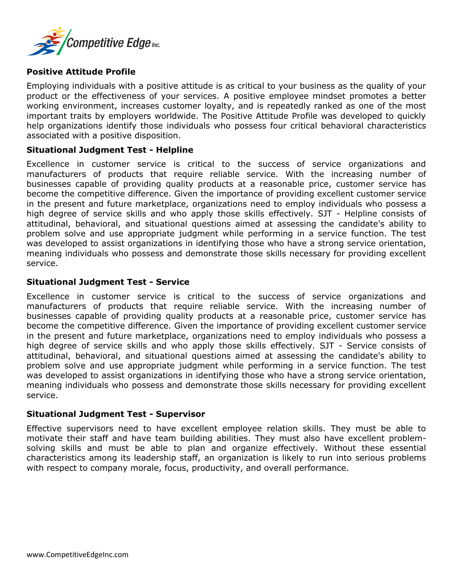

# **Positive Attitude Profile**

Employing individuals with a positive attitude is as critical to your business as the quality of your product or the effectiveness of your services. A positive employee mindset promotes a better working environment, increases customer loyalty, and is repeatedly ranked as one of the most important traits by employers worldwide. The Positive Attitude Profile was developed to quickly help organizations identify those individuals who possess four critical behavioral characteristics associated with a positive disposition.

## **Situational Judgment Test - Helpline**

Excellence in customer service is critical to the success of service organizations and manufacturers of products that require reliable service. With the increasing number of businesses capable of providing quality products at a reasonable price, customer service has become the competitive difference. Given the importance of providing excellent customer service in the present and future marketplace, organizations need to employ individuals who possess a high degree of service skills and who apply those skills effectively. SJT - Helpline consists of attitudinal, behavioral, and situational questions aimed at assessing the candidate's ability to problem solve and use appropriate judgment while performing in a service function. The test was developed to assist organizations in identifying those who have a strong service orientation, meaning individuals who possess and demonstrate those skills necessary for providing excellent service.

## **Situational Judgment Test - Service**

Excellence in customer service is critical to the success of service organizations and manufacturers of products that require reliable service. With the increasing number of businesses capable of providing quality products at a reasonable price, customer service has become the competitive difference. Given the importance of providing excellent customer service in the present and future marketplace, organizations need to employ individuals who possess a high degree of service skills and who apply those skills effectively. SJT - Service consists of attitudinal, behavioral, and situational questions aimed at assessing the candidate's ability to problem solve and use appropriate judgment while performing in a service function. The test was developed to assist organizations in identifying those who have a strong service orientation, meaning individuals who possess and demonstrate those skills necessary for providing excellent service.

#### **Situational Judgment Test - Supervisor**

Effective supervisors need to have excellent employee relation skills. They must be able to motivate their staff and have team building abilities. They must also have excellent problemsolving skills and must be able to plan and organize effectively. Without these essential characteristics among its leadership staff, an organization is likely to run into serious problems with respect to company morale, focus, productivity, and overall performance.